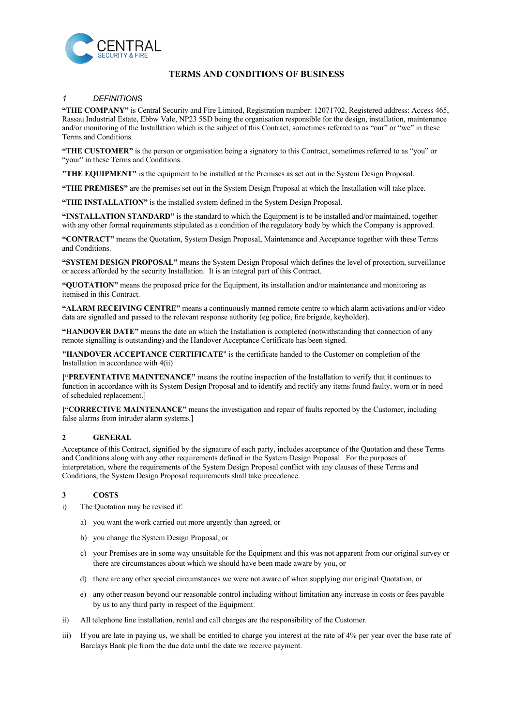

# **TERMS AND CONDITIONS OF BUSINESS**

# *1 DEFINITIONS*

**"THE COMPANY"** is Central Security and Fire Limited, Registration number: 12071702, Registered address: Access 465, Rassau Industrial Estate, Ebbw Vale, NP23 5SD being the organisation responsible for the design, installation, maintenance and/or monitoring of the Installation which is the subject of this Contract, sometimes referred to as "our" or "we" in these Terms and Conditions.

**"THE CUSTOMER"** is the person or organisation being a signatory to this Contract, sometimes referred to as "you" or "your" in these Terms and Conditions.

**"THE EQUIPMENT"** is the equipment to be installed at the Premises as set out in the System Design Proposal.

**"THE PREMISES"** are the premises set out in the System Design Proposal at which the Installation will take place.

"THE INSTALLATION" is the installed system defined in the System Design Proposal.

**"INSTALLATION STANDARD"** is the standard to which the Equipment is to be installed and/or maintained, together with any other formal requirements stipulated as a condition of the regulatory body by which the Company is approved.

**"CONTRACT"** means the Quotation, System Design Proposal, Maintenance and Acceptance together with these Terms and Conditions.

**"SYSTEM DESIGN PROPOSAL"** means the System Design Proposal which defines the level of protection, surveillance or access afforded by the security Installation. It is an integral part of this Contract.

**"QUOTATION"** means the proposed price for the Equipment, its installation and/or maintenance and monitoring as itemised in this Contract.

**"ALARM RECEIVING CENTRE"** means a continuously manned remote centre to which alarm activations and/or video data are signalled and passed to the relevant response authority (eg police, fire brigade, keyholder).

**"HANDOVER DATE"** means the date on which the Installation is completed (notwithstanding that connection of any remote signalling is outstanding) and the Handover Acceptance Certificate has been signed.

**"HANDOVER ACCEPTANCE CERTIFICATE**" is the certificate handed to the Customer on completion of the Installation in accordance with 4(ii)

**["PREVENTATIVE MAINTENANCE"** means the routine inspection of the Installation to verify that it continues to function in accordance with its System Design Proposal and to identify and rectify any items found faulty, worn or in need of scheduled replacement.]

**["CORRECTIVE MAINTENANCE"** means the investigation and repair of faults reported by the Customer, including false alarms from intruder alarm systems.]

## **2 GENERAL**

Acceptance of this Contract, signified by the signature of each party, includes acceptance of the Quotation and these Terms and Conditions along with any other requirements defined in the System Design Proposal. For the purposes of interpretation, where the requirements of the System Design Proposal conflict with any clauses of these Terms and Conditions, the System Design Proposal requirements shall take precedence.

## **3 COSTS**

- i) The Quotation may be revised if:
	- a) you want the work carried out more urgently than agreed, or
	- b) you change the System Design Proposal, or
	- c) your Premises are in some way unsuitable for the Equipment and this was not apparent from our original survey or there are circumstances about which we should have been made aware by you, or
	- d) there are any other special circumstances we were not aware of when supplying our original Quotation, or
	- e) any other reason beyond our reasonable control including without limitation any increase in costs or fees payable by us to any third party in respect of the Equipment.
- ii) All telephone line installation, rental and call charges are the responsibility of the Customer.
- iii) If you are late in paying us, we shall be entitled to charge you interest at the rate of 4% per year over the base rate of Barclays Bank plc from the due date until the date we receive payment.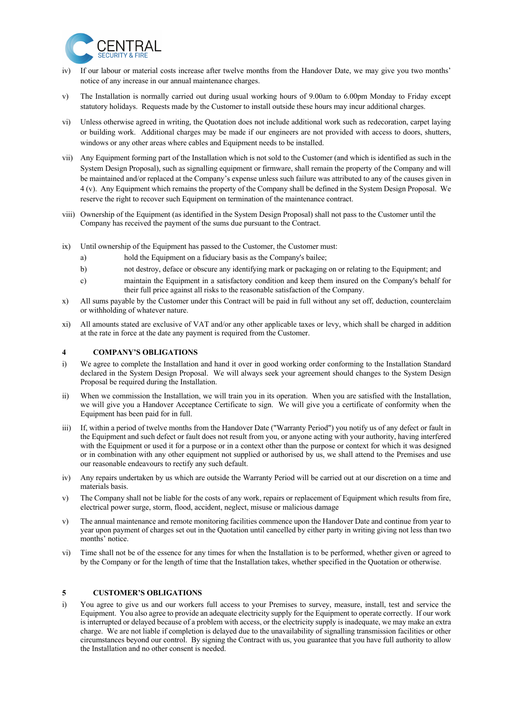

- iv) If our labour or material costs increase after twelve months from the Handover Date, we may give you two months' notice of any increase in our annual maintenance charges.
- v) The Installation is normally carried out during usual working hours of 9.00am to 6.00pm Monday to Friday except statutory holidays. Requests made by the Customer to install outside these hours may incur additional charges.
- vi) Unless otherwise agreed in writing, the Quotation does not include additional work such as redecoration, carpet laying or building work. Additional charges may be made if our engineers are not provided with access to doors, shutters, windows or any other areas where cables and Equipment needs to be installed.
- vii) Any Equipment forming part of the Installation which is not sold to the Customer (and which is identified as such in the System Design Proposal), such as signalling equipment or firmware, shall remain the property of the Company and will be maintained and/or replaced at the Company's expense unless such failure was attributed to any of the causes given in 4 (v). Any Equipment which remains the property of the Company shall be defined in the System Design Proposal. We reserve the right to recover such Equipment on termination of the maintenance contract.
- viii) Ownership of the Equipment (as identified in the System Design Proposal) shall not pass to the Customer until the Company has received the payment of the sums due pursuant to the Contract.
- ix) Until ownership of the Equipment has passed to the Customer, the Customer must:
	- a) hold the Equipment on a fiduciary basis as the Company's bailee;
	- b) not destroy, deface or obscure any identifying mark or packaging on or relating to the Equipment; and
	- c) maintain the Equipment in a satisfactory condition and keep them insured on the Company's behalf for their full price against all risks to the reasonable satisfaction of the Company.
- x) All sums payable by the Customer under this Contract will be paid in full without any set off, deduction, counterclaim or withholding of whatever nature.
- xi) All amounts stated are exclusive of VAT and/or any other applicable taxes or levy, which shall be charged in addition at the rate in force at the date any payment is required from the Customer.

## **4 COMPANY'S OBLIGATIONS**

- i) We agree to complete the Installation and hand it over in good working order conforming to the Installation Standard declared in the System Design Proposal. We will always seek your agreement should changes to the System Design Proposal be required during the Installation.
- ii) When we commission the Installation, we will train you in its operation. When you are satisfied with the Installation, we will give you a Handover Acceptance Certificate to sign. We will give you a certificate of conformity when the Equipment has been paid for in full.
- iii) If, within a period of twelve months from the Handover Date ("Warranty Period") you notify us of any defect or fault in the Equipment and such defect or fault does not result from you, or anyone acting with your authority, having interfered with the Equipment or used it for a purpose or in a context other than the purpose or context for which it was designed or in combination with any other equipment not supplied or authorised by us, we shall attend to the Premises and use our reasonable endeavours to rectify any such default.
- iv) Any repairs undertaken by us which are outside the Warranty Period will be carried out at our discretion on a time and materials basis.
- v) The Company shall not be liable for the costs of any work, repairs or replacement of Equipment which results from fire, electrical power surge, storm, flood, accident, neglect, misuse or malicious damage
- v) The annual maintenance and remote monitoring facilities commence upon the Handover Date and continue from year to year upon payment of charges set out in the Quotation until cancelled by either party in writing giving not less than two months' notice.
- vi) Time shall not be of the essence for any times for when the Installation is to be performed, whether given or agreed to by the Company or for the length of time that the Installation takes, whether specified in the Quotation or otherwise.

## **5 CUSTOMER'S OBLIGATIONS**

i) You agree to give us and our workers full access to your Premises to survey, measure, install, test and service the Equipment. You also agree to provide an adequate electricity supply for the Equipment to operate correctly. If our work is interrupted or delayed because of a problem with access, or the electricity supply is inadequate, we may make an extra charge. We are not liable if completion is delayed due to the unavailability of signalling transmission facilities or other circumstances beyond our control. By signing the Contract with us, you guarantee that you have full authority to allow the Installation and no other consent is needed.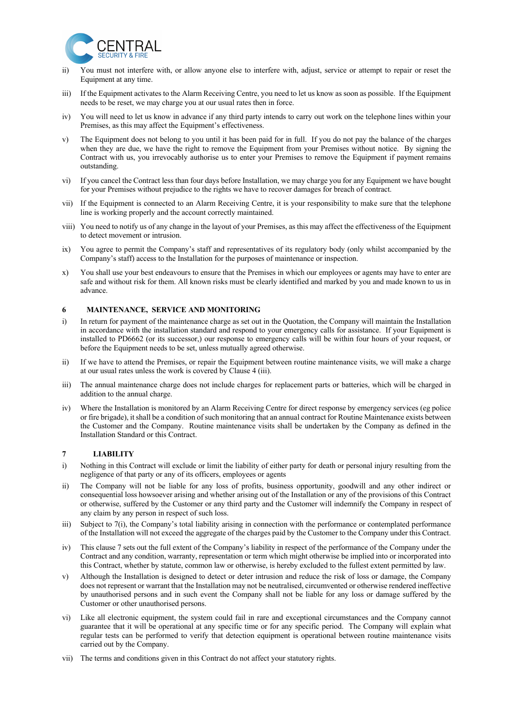

- ii) You must not interfere with, or allow anyone else to interfere with, adjust, service or attempt to repair or reset the Equipment at any time.
- iii) If the Equipment activates to the Alarm Receiving Centre, you need to let us know as soon as possible. If the Equipment needs to be reset, we may charge you at our usual rates then in force.
- iv) You will need to let us know in advance if any third party intends to carry out work on the telephone lines within your Premises, as this may affect the Equipment's effectiveness.
- v) The Equipment does not belong to you until it has been paid for in full. If you do not pay the balance of the charges when they are due, we have the right to remove the Equipment from your Premises without notice. By signing the Contract with us, you irrevocably authorise us to enter your Premises to remove the Equipment if payment remains outstanding.
- vi) If you cancel the Contract less than four days before Installation, we may charge you for any Equipment we have bought for your Premises without prejudice to the rights we have to recover damages for breach of contract.
- vii) If the Equipment is connected to an Alarm Receiving Centre, it is your responsibility to make sure that the telephone line is working properly and the account correctly maintained.
- viii) You need to notify us of any change in the layout of your Premises, as this may affect the effectiveness of the Equipment to detect movement or intrusion.
- ix) You agree to permit the Company's staff and representatives of its regulatory body (only whilst accompanied by the Company's staff) access to the Installation for the purposes of maintenance or inspection.
- x) You shall use your best endeavours to ensure that the Premises in which our employees or agents may have to enter are safe and without risk for them. All known risks must be clearly identified and marked by you and made known to us in advance.

## **6 MAINTENANCE, SERVICE AND MONITORING**

- i) In return for payment of the maintenance charge as set out in the Quotation, the Company will maintain the Installation in accordance with the installation standard and respond to your emergency calls for assistance. If your Equipment is installed to PD6662 (or its successor,) our response to emergency calls will be within four hours of your request, or before the Equipment needs to be set, unless mutually agreed otherwise.
- ii) If we have to attend the Premises, or repair the Equipment between routine maintenance visits, we will make a charge at our usual rates unless the work is covered by Clause 4 (iii).
- iii) The annual maintenance charge does not include charges for replacement parts or batteries, which will be charged in addition to the annual charge.
- iv) Where the Installation is monitored by an Alarm Receiving Centre for direct response by emergency services (eg police or fire brigade), it shall be a condition of such monitoring that an annual contract for Routine Maintenance exists between the Customer and the Company. Routine maintenance visits shall be undertaken by the Company as defined in the Installation Standard or this Contract.

## **7 LIABILITY**

- i) Nothing in this Contract will exclude or limit the liability of either party for death or personal injury resulting from the negligence of that party or any of its officers, employees or agents
- ii) The Company will not be liable for any loss of profits, business opportunity, goodwill and any other indirect or consequential loss howsoever arising and whether arising out of the Installation or any of the provisions of this Contract or otherwise, suffered by the Customer or any third party and the Customer will indemnify the Company in respect of any claim by any person in respect of such loss.
- iii) Subject to 7(i), the Company's total liability arising in connection with the performance or contemplated performance of the Installation will not exceed the aggregate of the charges paid by the Customer to the Company under this Contract.
- iv) This clause 7 sets out the full extent of the Company's liability in respect of the performance of the Company under the Contract and any condition, warranty, representation or term which might otherwise be implied into or incorporated into this Contract, whether by statute, common law or otherwise, is hereby excluded to the fullest extent permitted by law.
- v) Although the Installation is designed to detect or deter intrusion and reduce the risk of loss or damage, the Company does not represent or warrant that the Installation may not be neutralised, circumvented or otherwise rendered ineffective by unauthorised persons and in such event the Company shall not be liable for any loss or damage suffered by the Customer or other unauthorised persons.
- vi) Like all electronic equipment, the system could fail in rare and exceptional circumstances and the Company cannot guarantee that it will be operational at any specific time or for any specific period. The Company will explain what regular tests can be performed to verify that detection equipment is operational between routine maintenance visits carried out by the Company.
- vii) The terms and conditions given in this Contract do not affect your statutory rights.